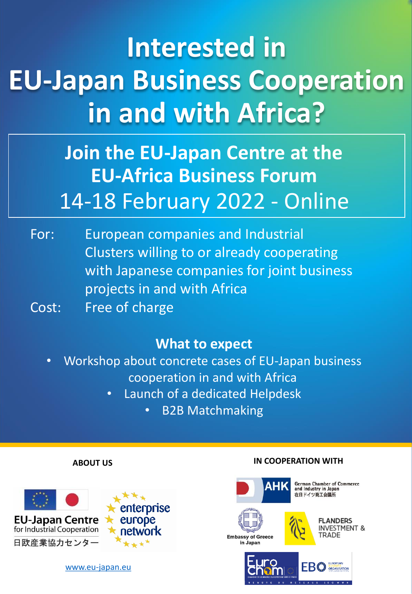# **Interested in EU-Japan Business Cooperation in and with Africa?**

## 14-18 February 2022 - Online **Join the EU-Japan Centre at the EU-Africa Business Forum**

For: European companies and Industrial Clusters willing to or already cooperating with Japanese companies for joint business projects in and with Africa Cost: Free of charge

### **What to expect**

- Workshop about concrete cases of EU-Japan business cooperation in and with Africa
	- Launch of a dedicated Helpdesk
		- B2B Matchmaking

### **ABOUT US**



[www.eu-japan.eu](http://www.eu-japan.eu/)

### **IN COOPERATION WITH**